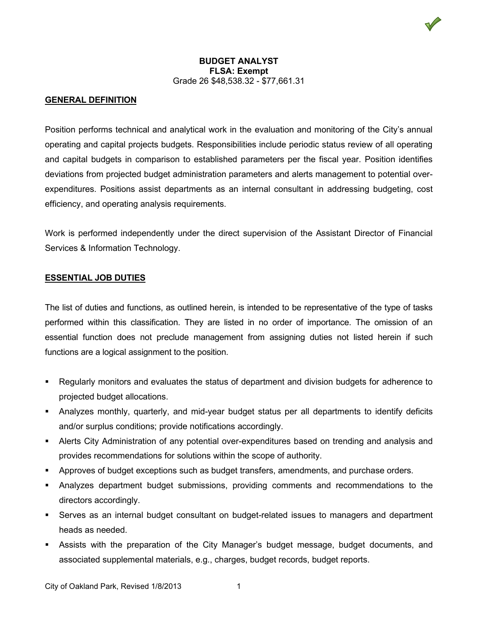V

### **GENERAL DEFINITION**

Position performs technical and analytical work in the evaluation and monitoring of the City's annual operating and capital projects budgets. Responsibilities include periodic status review of all operating and capital budgets in comparison to established parameters per the fiscal year. Position identifies deviations from projected budget administration parameters and alerts management to potential overexpenditures. Positions assist departments as an internal consultant in addressing budgeting, cost efficiency, and operating analysis requirements.

Work is performed independently under the direct supervision of the Assistant Director of Financial Services & Information Technology.

#### **ESSENTIAL JOB DUTIES**

The list of duties and functions, as outlined herein, is intended to be representative of the type of tasks performed within this classification. They are listed in no order of importance. The omission of an essential function does not preclude management from assigning duties not listed herein if such functions are a logical assignment to the position.

- Regularly monitors and evaluates the status of department and division budgets for adherence to projected budget allocations.
- Analyzes monthly, quarterly, and mid-year budget status per all departments to identify deficits and/or surplus conditions; provide notifications accordingly.
- Alerts City Administration of any potential over-expenditures based on trending and analysis and provides recommendations for solutions within the scope of authority.
- Approves of budget exceptions such as budget transfers, amendments, and purchase orders.
- Analyzes department budget submissions, providing comments and recommendations to the directors accordingly.
- Serves as an internal budget consultant on budget-related issues to managers and department heads as needed.
- Assists with the preparation of the City Manager's budget message, budget documents, and associated supplemental materials, e.g., charges, budget records, budget reports.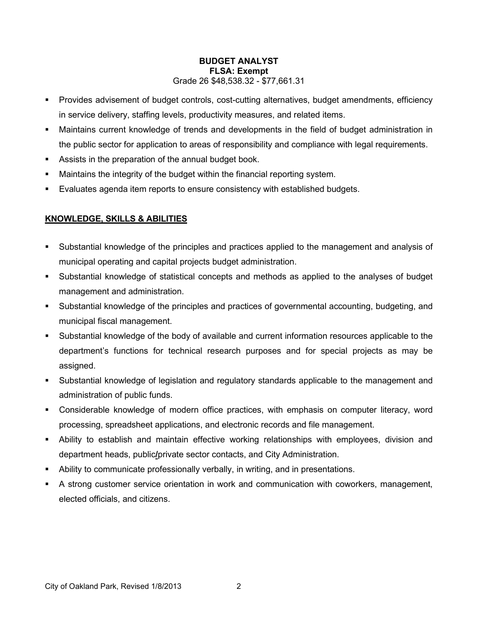- Provides advisement of budget controls, cost-cutting alternatives, budget amendments, efficiency in service delivery, staffing levels, productivity measures, and related items.
- Maintains current knowledge of trends and developments in the field of budget administration in the public sector for application to areas of responsibility and compliance with legal requirements.
- Assists in the preparation of the annual budget book.
- Maintains the integrity of the budget within the financial reporting system.
- **Evaluates agenda item reports to ensure consistency with established budgets.**

# **KNOWLEDGE, SKILLS & ABILITIES**

- Substantial knowledge of the principles and practices applied to the management and analysis of municipal operating and capital projects budget administration.
- Substantial knowledge of statistical concepts and methods as applied to the analyses of budget management and administration.
- Substantial knowledge of the principles and practices of governmental accounting, budgeting, and municipal fiscal management.
- Substantial knowledge of the body of available and current information resources applicable to the department's functions for technical research purposes and for special projects as may be assigned.
- Substantial knowledge of legislation and regulatory standards applicable to the management and administration of public funds.
- Considerable knowledge of modern office practices, with emphasis on computer literacy, word processing, spreadsheet applications, and electronic records and file management.
- Ability to establish and maintain effective working relationships with employees, division and department heads, public**/**private sector contacts, and City Administration.
- Ability to communicate professionally verbally, in writing, and in presentations.
- A strong customer service orientation in work and communication with coworkers, management, elected officials, and citizens.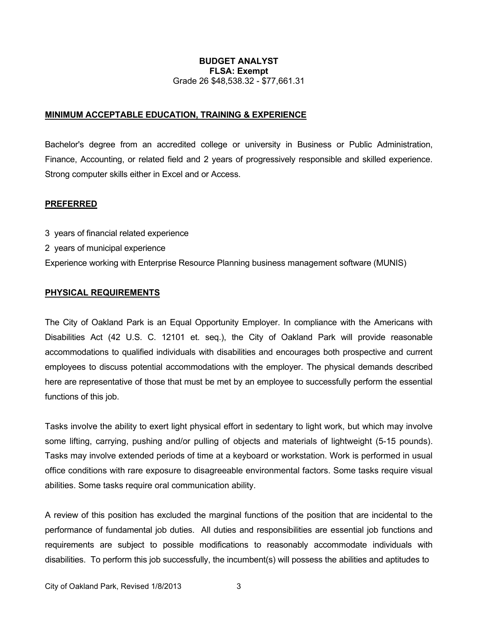#### **MINIMUM ACCEPTABLE EDUCATION, TRAINING & EXPERIENCE**

Bachelor's degree from an accredited college or university in Business or Public Administration, Finance, Accounting, or related field and 2 years of progressively responsible and skilled experience. Strong computer skills either in Excel and or Access.

#### **PREFERRED**

- 3 years of financial related experience
- 2 years of municipal experience

Experience working with Enterprise Resource Planning business management software (MUNIS)

### **PHYSICAL REQUIREMENTS**

The City of Oakland Park is an Equal Opportunity Employer. In compliance with the Americans with Disabilities Act (42 U.S. C. 12101 et. seq.), the City of Oakland Park will provide reasonable accommodations to qualified individuals with disabilities and encourages both prospective and current employees to discuss potential accommodations with the employer. The physical demands described here are representative of those that must be met by an employee to successfully perform the essential functions of this job.

Tasks involve the ability to exert light physical effort in sedentary to light work, but which may involve some lifting, carrying, pushing and/or pulling of objects and materials of lightweight (5-15 pounds). Tasks may involve extended periods of time at a keyboard or workstation. Work is performed in usual office conditions with rare exposure to disagreeable environmental factors. Some tasks require visual abilities. Some tasks require oral communication ability.

A review of this position has excluded the marginal functions of the position that are incidental to the performance of fundamental job duties. All duties and responsibilities are essential job functions and requirements are subject to possible modifications to reasonably accommodate individuals with disabilities. To perform this job successfully, the incumbent(s) will possess the abilities and aptitudes to